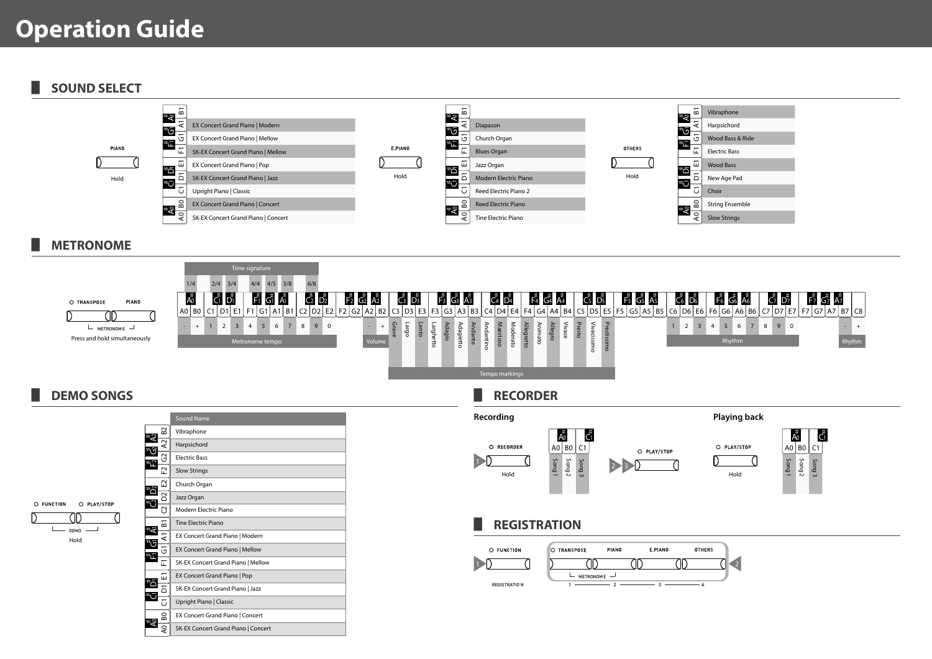# **Operation Guide**

▋ **SOUND SELECT**



#### ▋ **METRONOME**



## ▋ **DEMO SONGS**

 $\circ$  $\overline{D}$ 

|                                                                                                                         |             | <b>Sound Name</b>                   |
|-------------------------------------------------------------------------------------------------------------------------|-------------|-------------------------------------|
| धे<br>'ত<br>F2<br>ชื่<br>ξ<br><b>UNCTION</b><br>O PLAY/STOP<br>ä<br><b>DEMO</b><br>Hold<br>لمً<br>파.<br>۵"<br>5<br>ا ج+ | 53          | Vibraphone                          |
|                                                                                                                         | $\sim$<br>⋖ | Harpsichord                         |
|                                                                                                                         | $\sim$<br>ü | <b>Electric Bass</b>                |
|                                                                                                                         | F,          | <b>Slow Strings</b>                 |
|                                                                                                                         | E2          | Church Organ                        |
|                                                                                                                         | δ           | Jazz Organ                          |
|                                                                                                                         | G           | Modern Electric Piano               |
|                                                                                                                         | 51          | <b>Tine Electric Piano</b>          |
|                                                                                                                         | £           | EX Concert Grand Piano   Modern     |
|                                                                                                                         | G           | EX Concert Grand Piano   Mellow     |
|                                                                                                                         | 됴           | SK-EX Concert Grand Piano   Mellow  |
|                                                                                                                         | 冨           | EX Concert Grand Piano   Pop        |
|                                                                                                                         | ۵           | SK-EX Concert Grand Piano   Jazz    |
|                                                                                                                         | 5           | Upright Piano   Classic             |
|                                                                                                                         | 80          | EX Concert Grand Piano   Concert    |
|                                                                                                                         | S           | SK-EX Concert Grand Piano   Concert |
|                                                                                                                         |             |                                     |

### ▋ **RECORDER**